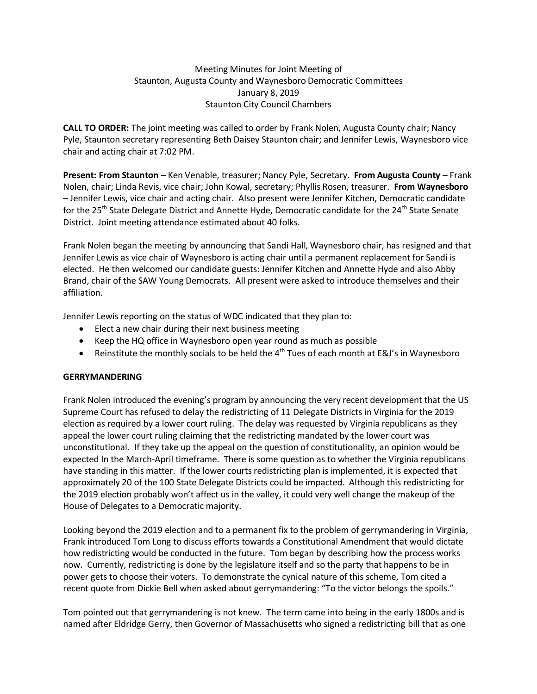### Meeting Minutes for Joint Meeting of Staunton, Augusta County and Waynesboro Democratic Committees January 8, 2019 Staunton City Council Chambers

**CALL TO ORDER:** The joint meeting was called to order by Frank Nolen, Augusta County chair; Nancy Pyle, Staunton secretary representing Beth Daisey Staunton chair; and Jennifer Lewis, Waynesboro vice chair and acting chair at 7:02 PM.

**Present: From Staunton** – Ken Venable, treasurer; Nancy Pyle, Secretary. **From Augusta County** – Frank Nolen, chair; Linda Revis, vice chair; John Kowal, secretary; Phyllis Rosen, treasurer. **From Waynesboro** – Jennifer Lewis, vice chair and acting chair. Also present were Jennifer Kitchen, Democratic candidate for the 25<sup>th</sup> State Delegate District and Annette Hyde, Democratic candidate for the 24<sup>th</sup> State Senate District. Joint meeting attendance estimated about 40 folks.

Frank Nolen began the meeting by announcing that Sandi Hall, Waynesboro chair, has resigned and that Jennifer Lewis as vice chair of Waynesboro is acting chair until a permanent replacement for Sandi is elected. He then welcomed our candidate guests: Jennifer Kitchen and Annette Hyde and also Abby Brand, chair of the SAW Young Democrats. All present were asked to introduce themselves and their affiliation.

Jennifer Lewis reporting on the status of WDC indicated that they plan to:

- Elect a new chair during their next business meeting
- Keep the HQ office in Waynesboro open year round as much as possible
- Reinstitute the monthly socials to be held the  $4<sup>th</sup>$  Tues of each month at E&J's in Waynesboro

#### **GERRYMANDERING**

Frank Nolen introduced the evening's program by announcing the very recent development that the US Supreme Court has refused to delay the redistricting of 11 Delegate Districts in Virginia for the 2019 election as required by a lower court ruling. The delay was requested by Virginia republicans as they appeal the lower court ruling claiming that the redistricting mandated by the lower court was unconstitutional. If they take up the appeal on the question of constitutionality, an opinion would be expected In the March-April timeframe. There is some question as to whether the Virginia republicans have standing in this matter. If the lower courts redistricting plan is implemented, it is expected that approximately 20 of the 100 State Delegate Districts could be impacted. Although this redistricting for the 2019 election probably won't affect us in the valley, it could very well change the makeup of the House of Delegates to a Democratic majority.

Looking beyond the 2019 election and to a permanent fix to the problem of gerrymandering in Virginia, Frank introduced Tom Long to discuss efforts towards a Constitutional Amendment that would dictate how redistricting would be conducted in the future. Tom began by describing how the process works now. Currently, redistricting is done by the legislature itself and so the party that happens to be in power gets to choose their voters. To demonstrate the cynical nature of this scheme, Tom cited a recent quote from Dickie Bell when asked about gerrymandering: "To the victor belongs the spoils."

Tom pointed out that gerrymandering is not knew. The term came into being in the early 1800s and is named after Eldridge Gerry, then Governor of Massachusetts who signed a redistricting bill that as one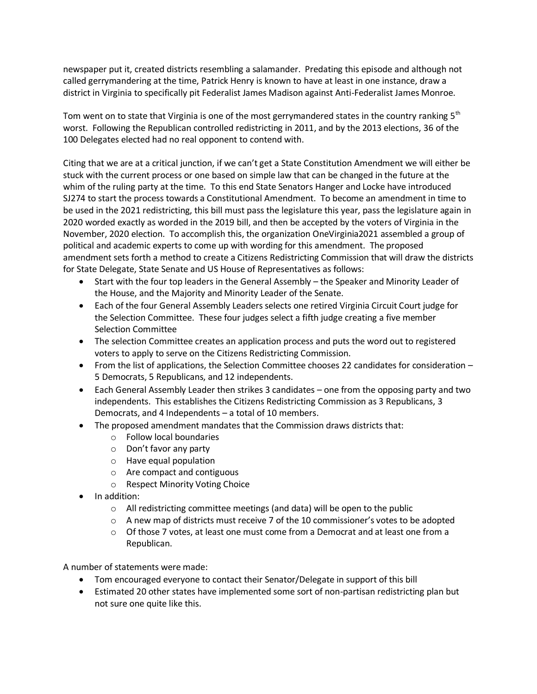newspaper put it, created districts resembling a salamander. Predating this episode and although not called gerrymandering at the time, Patrick Henry is known to have at least in one instance, draw a district in Virginia to specifically pit Federalist James Madison against Anti-Federalist James Monroe.

Tom went on to state that Virginia is one of the most gerrymandered states in the country ranking  $5<sup>th</sup>$ worst. Following the Republican controlled redistricting in 2011, and by the 2013 elections, 36 of the 100 Delegates elected had no real opponent to contend with.

Citing that we are at a critical junction, if we can't get a State Constitution Amendment we will either be stuck with the current process or one based on simple law that can be changed in the future at the whim of the ruling party at the time. To this end State Senators Hanger and Locke have introduced SJ274 to start the process towards a Constitutional Amendment. To become an amendment in time to be used in the 2021 redistricting, this bill must pass the legislature this year, pass the legislature again in 2020 worded exactly as worded in the 2019 bill, and then be accepted by the voters of Virginia in the November, 2020 election. To accomplish this, the organization OneVirginia2021 assembled a group of political and academic experts to come up with wording for this amendment. The proposed amendment sets forth a method to create a Citizens Redistricting Commission that will draw the districts for State Delegate, State Senate and US House of Representatives as follows:

- Start with the four top leaders in the General Assembly the Speaker and Minority Leader of the House, and the Majority and Minority Leader of the Senate.
- Each of the four General Assembly Leaders selects one retired Virginia Circuit Court judge for the Selection Committee. These four judges select a fifth judge creating a five member Selection Committee
- The selection Committee creates an application process and puts the word out to registered voters to apply to serve on the Citizens Redistricting Commission.
- From the list of applications, the Selection Committee chooses 22 candidates for consideration 5 Democrats, 5 Republicans, and 12 independents.
- Each General Assembly Leader then strikes 3 candidates one from the opposing party and two independents. This establishes the Citizens Redistricting Commission as 3 Republicans, 3 Democrats, and 4 Independents – a total of 10 members.
- The proposed amendment mandates that the Commission draws districts that:
	- o Follow local boundaries
	- o Don't favor any party
	- o Have equal population
	- o Are compact and contiguous
	- o Respect Minority Voting Choice
- In addition:
	- $\circ$  All redistricting committee meetings (and data) will be open to the public
	- $\circ$  A new map of districts must receive 7 of the 10 commissioner's votes to be adopted
	- $\circ$  Of those 7 votes, at least one must come from a Democrat and at least one from a Republican.

A number of statements were made:

- Tom encouraged everyone to contact their Senator/Delegate in support of this bill
- Estimated 20 other states have implemented some sort of non-partisan redistricting plan but not sure one quite like this.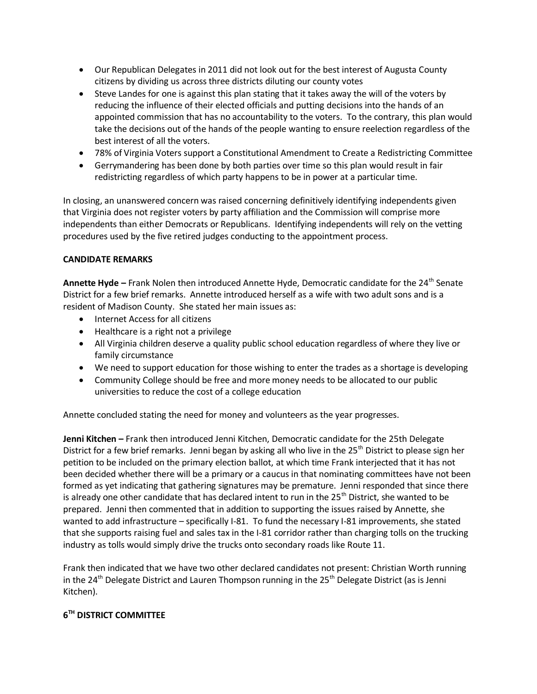- Our Republican Delegates in 2011 did not look out for the best interest of Augusta County citizens by dividing us across three districts diluting our county votes
- Steve Landes for one is against this plan stating that it takes away the will of the voters by reducing the influence of their elected officials and putting decisions into the hands of an appointed commission that has no accountability to the voters. To the contrary, this plan would take the decisions out of the hands of the people wanting to ensure reelection regardless of the best interest of all the voters.
- 78% of Virginia Voters support a Constitutional Amendment to Create a Redistricting Committee
- Gerrymandering has been done by both parties over time so this plan would result in fair redistricting regardless of which party happens to be in power at a particular time.

In closing, an unanswered concern was raised concerning definitively identifying independents given that Virginia does not register voters by party affiliation and the Commission will comprise more independents than either Democrats or Republicans. Identifying independents will rely on the vetting procedures used by the five retired judges conducting to the appointment process.

# **CANDIDATE REMARKS**

**Annette Hyde** – Frank Nolen then introduced Annette Hyde, Democratic candidate for the 24<sup>th</sup> Senate District for a few brief remarks. Annette introduced herself as a wife with two adult sons and is a resident of Madison County. She stated her main issues as:

- Internet Access for all citizens
- Healthcare is a right not a privilege
- All Virginia children deserve a quality public school education regardless of where they live or family circumstance
- We need to support education for those wishing to enter the trades as a shortage is developing
- Community College should be free and more money needs to be allocated to our public universities to reduce the cost of a college education

Annette concluded stating the need for money and volunteers as the year progresses.

**Jenni Kitchen –** Frank then introduced Jenni Kitchen, Democratic candidate for the 25th Delegate District for a few brief remarks. Jenni began by asking all who live in the 25<sup>th</sup> District to please sign her petition to be included on the primary election ballot, at which time Frank interjected that it has not been decided whether there will be a primary or a caucus in that nominating committees have not been formed as yet indicating that gathering signatures may be premature. Jenni responded that since there is already one other candidate that has declared intent to run in the 25<sup>th</sup> District, she wanted to be prepared. Jenni then commented that in addition to supporting the issues raised by Annette, she wanted to add infrastructure – specifically I-81. To fund the necessary I-81 improvements, she stated that she supports raising fuel and sales tax in the I-81 corridor rather than charging tolls on the trucking industry as tolls would simply drive the trucks onto secondary roads like Route 11.

Frank then indicated that we have two other declared candidates not present: Christian Worth running in the 24<sup>th</sup> Delegate District and Lauren Thompson running in the 25<sup>th</sup> Delegate District (as is Jenni Kitchen).

# **6 TH DISTRICT COMMITTEE**